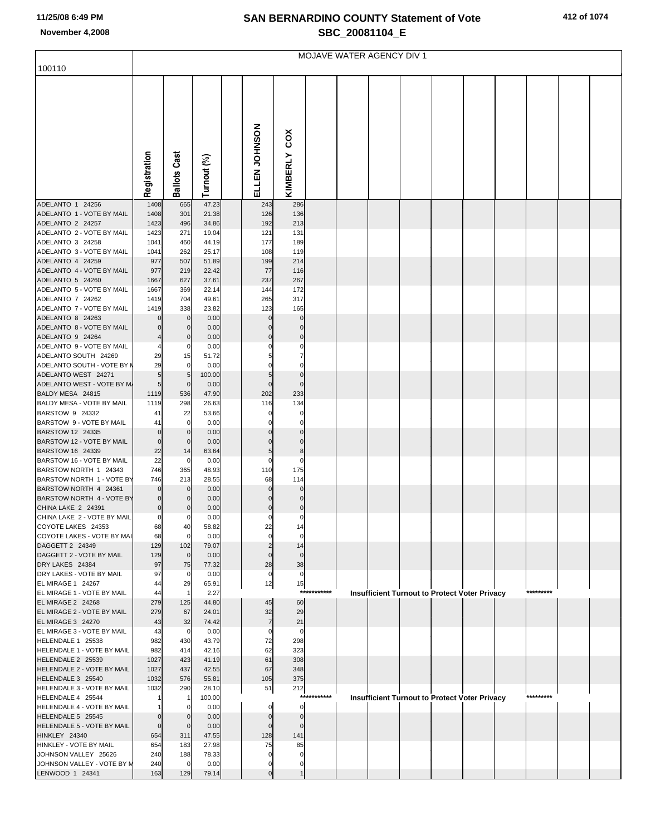## **SAN BERNARDINO COUNTY Statement of Vote November 4,2008 SBC\_20081104\_E**

| 412 of 1074 |
|-------------|
|-------------|

|                                                        | MOJAVE WATER AGENCY DIV 1 |                            |                |  |               |                         |             |  |  |  |  |                                                      |  |           |  |
|--------------------------------------------------------|---------------------------|----------------------------|----------------|--|---------------|-------------------------|-------------|--|--|--|--|------------------------------------------------------|--|-----------|--|
| 100110                                                 |                           |                            |                |  |               |                         |             |  |  |  |  |                                                      |  |           |  |
|                                                        | Registration              | <b>Ballots Cast</b>        | Turnout (%)    |  | ELLEN JOHNSON | cox<br>KIMBERLY         |             |  |  |  |  |                                                      |  |           |  |
| ADELANTO 1 24256                                       | 1408                      | 665                        | 47.23          |  | 243           | 286                     |             |  |  |  |  |                                                      |  |           |  |
| ADELANTO 1 - VOTE BY MAIL                              | 1408                      | 301                        | 21.38          |  | 126           | 136                     |             |  |  |  |  |                                                      |  |           |  |
| ADELANTO 2 24257<br>ADELANTO 2 - VOTE BY MAIL          | 1423                      | 496                        | 34.86<br>19.04 |  | 192           | 213<br>131              |             |  |  |  |  |                                                      |  |           |  |
| ADELANTO 3 24258                                       | 1423<br>1041              | 271<br>460                 | 44.19          |  | 121<br>177    | 189                     |             |  |  |  |  |                                                      |  |           |  |
| ADELANTO 3 - VOTE BY MAIL                              | 1041                      | 262                        | 25.17          |  | 108           | 119                     |             |  |  |  |  |                                                      |  |           |  |
| ADELANTO 4 24259                                       | 977                       | 507                        | 51.89          |  | 199           | 214                     |             |  |  |  |  |                                                      |  |           |  |
| ADELANTO 4 - VOTE BY MAIL                              | 977                       | 219                        | 22.42          |  | 77            | 116                     |             |  |  |  |  |                                                      |  |           |  |
| ADELANTO 5 24260                                       | 1667                      | 627                        | 37.61          |  | 237           | 267                     |             |  |  |  |  |                                                      |  |           |  |
| ADELANTO 5 - VOTE BY MAIL                              | 1667                      | 369                        | 22.14          |  | 144           | 172                     |             |  |  |  |  |                                                      |  |           |  |
| ADELANTO 7 24262<br>ADELANTO 7 - VOTE BY MAIL          | 1419<br>1419              | 704<br>338                 | 49.61<br>23.82 |  | 265<br>123    | 317<br>165              |             |  |  |  |  |                                                      |  |           |  |
| ADELANTO 8 24263                                       | $\Omega$                  | $\mathbf 0$                | 0.00           |  |               | O                       |             |  |  |  |  |                                                      |  |           |  |
| ADELANTO 8 - VOTE BY MAIL                              | $\Omega$                  | $\mathbf 0$                | 0.00           |  |               | ŋ                       |             |  |  |  |  |                                                      |  |           |  |
| ADELANTO 9 24264                                       |                           | $\Omega$                   | 0.00           |  |               |                         |             |  |  |  |  |                                                      |  |           |  |
| ADELANTO 9 - VOTE BY MAIL                              |                           | 0                          | 0.00           |  |               |                         |             |  |  |  |  |                                                      |  |           |  |
| ADELANTO SOUTH 24269                                   | 29                        | 15                         | 51.72          |  |               |                         |             |  |  |  |  |                                                      |  |           |  |
| ADELANTO SOUTH - VOTE BY M<br>ADELANTO WEST 24271      | 29<br>$5\overline{)}$     | 0<br>5                     | 0.00<br>100.00 |  | 5             | $\Omega$                |             |  |  |  |  |                                                      |  |           |  |
| ADELANTO WEST - VOTE BY M.                             | $5\overline{)}$           | $\mathbf 0$                | 0.00           |  | Ω             |                         |             |  |  |  |  |                                                      |  |           |  |
| BALDY MESA 24815                                       | 1119                      | 536                        | 47.90          |  | 202           | 233                     |             |  |  |  |  |                                                      |  |           |  |
| BALDY MESA - VOTE BY MAIL                              | 1119                      | 298                        | 26.63          |  | 116           | 134                     |             |  |  |  |  |                                                      |  |           |  |
| BARSTOW 9 24332                                        | 41                        | 22                         | 53.66          |  |               | O                       |             |  |  |  |  |                                                      |  |           |  |
| BARSTOW 9 - VOTE BY MAIL<br>BARSTOW 12 24335           | 41<br>$\Omega$            | $\mathbf 0$<br>$\mathbf 0$ | 0.00<br>0.00   |  |               |                         |             |  |  |  |  |                                                      |  |           |  |
| BARSTOW 12 - VOTE BY MAIL                              | $\Omega$                  | $\Omega$                   | 0.00           |  |               |                         |             |  |  |  |  |                                                      |  |           |  |
| BARSTOW 16 24339                                       | 22                        | 14                         | 63.64          |  |               | 8                       |             |  |  |  |  |                                                      |  |           |  |
| BARSTOW 16 - VOTE BY MAIL                              | 22                        | 0                          | 0.00           |  |               | ŋ                       |             |  |  |  |  |                                                      |  |           |  |
| BARSTOW NORTH 1 24343                                  | 746                       | 365                        | 48.93          |  | 110           | 175                     |             |  |  |  |  |                                                      |  |           |  |
| BARSTOW NORTH 1 - VOTE BY<br>BARSTOW NORTH 4 24361     | 746<br>$\Omega$           | 213<br>$\mathbf 0$         | 28.55<br>0.00  |  | 68            | 114<br>O                |             |  |  |  |  |                                                      |  |           |  |
| BARSTOW NORTH 4 - VOTE BY                              | $\mathbf 0$               | 0                          | 0.00           |  |               | ŋ                       |             |  |  |  |  |                                                      |  |           |  |
| CHINA LAKE 2 24391                                     | $\overline{0}$            | 0                          | 0.00           |  | U             | 0                       |             |  |  |  |  |                                                      |  |           |  |
| CHINA LAKE 2 - VOTE BY MAIL                            | $\mathbf{0}$              | 0                          | 0.00           |  | 0             | 0                       |             |  |  |  |  |                                                      |  |           |  |
| COYOTE LAKES 24353                                     | 68                        | 40                         | 58.82          |  | 22            | 14                      |             |  |  |  |  |                                                      |  |           |  |
| COYOTE LAKES - VOTE BY MAI<br>DAGGETT 2 24349          | 68<br>129                 | $\mathbf 0$<br>102         | 0.00<br>79.07  |  | $\Omega$      | $\Omega$                |             |  |  |  |  |                                                      |  |           |  |
| DAGGETT 2 - VOTE BY MAIL                               | 129                       | $\mathbf 0$                | 0.00           |  | U             | 14<br>$\Omega$          |             |  |  |  |  |                                                      |  |           |  |
| DRY LAKES 24384                                        | 97                        | 75                         | 77.32          |  | 28            | 38                      |             |  |  |  |  |                                                      |  |           |  |
| DRY LAKES - VOTE BY MAIL                               | 97                        | 0                          | 0.00           |  | 0             | 0                       |             |  |  |  |  |                                                      |  |           |  |
| EL MIRAGE 1 24267                                      | 44                        | 29                         | 65.91          |  | 12            | 15                      |             |  |  |  |  |                                                      |  |           |  |
| EL MIRAGE 1 - VOTE BY MAIL<br><b>EL MIRAGE 2 24268</b> | 44<br>279                 | $\overline{1}$<br>125      | 2.27<br>44.80  |  | 45            | 60                      | *********** |  |  |  |  | <b>Insufficient Turnout to Protect Voter Privacy</b> |  | ********* |  |
| EL MIRAGE 2 - VOTE BY MAIL                             | 279                       | 67                         | 24.01          |  | 32            | 29                      |             |  |  |  |  |                                                      |  |           |  |
| EL MIRAGE 3 24270                                      | 43                        | 32                         | 74.42          |  | 7             | 21                      |             |  |  |  |  |                                                      |  |           |  |
| EL MIRAGE 3 - VOTE BY MAIL                             | 43                        | $\mathbf 0$                | 0.00           |  | O             | $\Omega$                |             |  |  |  |  |                                                      |  |           |  |
| HELENDALE 1 25538                                      | 982                       | 430                        | 43.79          |  | 72            | 298                     |             |  |  |  |  |                                                      |  |           |  |
| HELENDALE 1 - VOTE BY MAIL<br>HELENDALE 2 25539        | 982<br>1027               | 414<br>423                 | 42.16<br>41.19 |  | 62<br>61      | 323<br>308              |             |  |  |  |  |                                                      |  |           |  |
| HELENDALE 2 - VOTE BY MAIL                             | 1027                      | 437                        | 42.55          |  | 67            | 348                     |             |  |  |  |  |                                                      |  |           |  |
| HELENDALE 3 25540                                      | 1032                      | 576                        | 55.81          |  | 105           | 375                     |             |  |  |  |  |                                                      |  |           |  |
| HELENDALE 3 - VOTE BY MAIL                             | 1032                      | 290                        | 28.10          |  | 51            | 212                     |             |  |  |  |  |                                                      |  |           |  |
| HELENDALE 4 25544                                      |                           | -1                         | 100.00         |  |               | ***                     | *******     |  |  |  |  | <b>Insufficient Turnout to Protect Voter Privacy</b> |  | ********* |  |
| HELENDALE 4 - VOTE BY MAIL<br>HELENDALE 5 25545        | $\Omega$                  | 0<br>$\Omega$              | 0.00<br>0.00   |  | Ω             | $\mathbf 0$<br>$\Omega$ |             |  |  |  |  |                                                      |  |           |  |
| HELENDALE 5 - VOTE BY MAIL                             | $\mathbf{0}$              | $\mathbf 0$                | 0.00           |  | U             |                         |             |  |  |  |  |                                                      |  |           |  |
| HINKLEY 24340                                          | 654                       | 311                        | 47.55          |  | 128           | 141                     |             |  |  |  |  |                                                      |  |           |  |
| HINKLEY - VOTE BY MAIL                                 | 654                       | 183                        | 27.98          |  | 75            | 85                      |             |  |  |  |  |                                                      |  |           |  |
| JOHNSON VALLEY 25626                                   | 240                       | 188                        | 78.33          |  |               | O                       |             |  |  |  |  |                                                      |  |           |  |
| JOHNSON VALLEY - VOTE BY M                             | 240                       | $\mathbf 0$                | 0.00           |  |               |                         |             |  |  |  |  |                                                      |  |           |  |
| LENWOOD 1 24341                                        | 163                       | 129                        | 79.14          |  |               |                         |             |  |  |  |  |                                                      |  |           |  |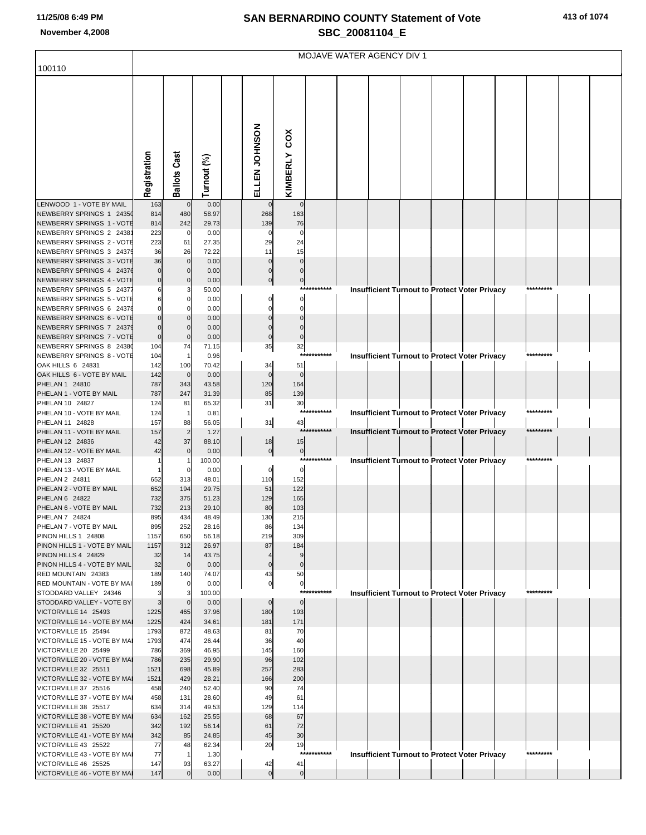## **SAN BERNARDINO COUNTY Statement of Vote November 4,2008 SBC\_20081104\_E**

|  | 413 of 1074 |
|--|-------------|
|  |             |

| 100110                                                | MOJAVE WATER AGENCY DIV 1 |                     |                |  |                    |                      |             |  |  |  |  |                                                      |  |           |  |  |
|-------------------------------------------------------|---------------------------|---------------------|----------------|--|--------------------|----------------------|-------------|--|--|--|--|------------------------------------------------------|--|-----------|--|--|
|                                                       | Registration              | <b>Ballots Cast</b> | Turnout (%)    |  | ELLEN<br>JOHNSON   | cox<br>KIMBERLY      |             |  |  |  |  |                                                      |  |           |  |  |
| LENWOOD 1 - VOTE BY MAIL<br>NEWBERRY SPRINGS 1 24350  | 163<br>814                | $\mathbf 0$<br>480  | 0.00<br>58.97  |  | $\mathbf 0$<br>268 | $\mathbf 0$<br>163   |             |  |  |  |  |                                                      |  |           |  |  |
| NEWBERRY SPRINGS 1 - VOTE                             | 814                       | 242                 | 29.73          |  | 139                | 76                   |             |  |  |  |  |                                                      |  |           |  |  |
| NEWBERRY SPRINGS 2 2438<br>NEWBERRY SPRINGS 2 - VOTE  | 223<br>223                | $\mathbf 0$<br>61   | 0.00<br>27.35  |  | 0<br>29            | 0<br>24              |             |  |  |  |  |                                                      |  |           |  |  |
| NEWBERRY SPRINGS 3 24375                              | 36                        | 26                  | 72.22          |  | 11                 | 15                   |             |  |  |  |  |                                                      |  |           |  |  |
| NEWBERRY SPRINGS 3 - VOTE                             | 36                        | $\overline{0}$      | 0.00           |  |                    | $\Omega$             |             |  |  |  |  |                                                      |  |           |  |  |
| NEWBERRY SPRINGS 4 24376                              |                           | $\circ$             | 0.00           |  |                    | $\mathbf 0$          |             |  |  |  |  |                                                      |  |           |  |  |
| NEWBERRY SPRINGS 4 - VOTE                             | $\Omega$                  | $\overline{0}$      | 0.00           |  | $\mathbf 0$        | $\overline{0}$       | *********** |  |  |  |  |                                                      |  |           |  |  |
| NEWBERRY SPRINGS 5 24377<br>NEWBERRY SPRINGS 5 - VOTE | 6                         | 3<br>0              | 50.00<br>0.00  |  | 0                  | 0                    |             |  |  |  |  | Insufficient Turnout to Protect Voter Privacy        |  |           |  |  |
| NEWBERRY SPRINGS 6 24378                              |                           | $\mathbf 0$         | 0.00           |  | O                  | 0                    |             |  |  |  |  |                                                      |  |           |  |  |
| NEWBERRY SPRINGS 6 - VOTE                             |                           | $\mathbf{0}$        | 0.00           |  |                    |                      |             |  |  |  |  |                                                      |  |           |  |  |
| NEWBERRY SPRINGS 7 24379                              |                           | $\mathbf 0$         | 0.00           |  |                    |                      |             |  |  |  |  |                                                      |  |           |  |  |
| NEWBERRY SPRINGS 7 - VOTE                             | 0                         | $\mathbf 0$         | 0.00           |  | $\mathbf 0$        |                      |             |  |  |  |  |                                                      |  |           |  |  |
| NEWBERRY SPRINGS 8 24380                              | 104                       | 74                  | 71.15          |  | 35                 | 32<br>***:           |             |  |  |  |  |                                                      |  | ********* |  |  |
| NEWBERRY SPRINGS 8 - VOTE<br>OAK HILLS 6 24831        | 104<br>142                | 1<br>100            | 0.96<br>70.42  |  | 34                 | 51                   |             |  |  |  |  | <b>Insufficient Turnout to Protect Voter Privacy</b> |  |           |  |  |
| OAK HILLS 6 - VOTE BY MAIL                            | 142                       | $\mathbf 0$         | 0.00           |  | $\mathbf 0$        | $\mathbf 0$          |             |  |  |  |  |                                                      |  |           |  |  |
| PHELAN 1 24810                                        | 787                       | 343                 | 43.58          |  | 120                | 164                  |             |  |  |  |  |                                                      |  |           |  |  |
| PHELAN 1 - VOTE BY MAIL                               | 787                       | 247                 | 31.39          |  | 85                 | 139                  |             |  |  |  |  |                                                      |  |           |  |  |
| PHELAN 10 24827                                       | 124                       | 81                  | 65.32          |  | 31                 | 30                   | *********** |  |  |  |  |                                                      |  | ********* |  |  |
| PHELAN 10 - VOTE BY MAIL<br>PHELAN 11 24828           | 124<br>157                | $\mathbf{1}$<br>88  | 0.81<br>56.05  |  | 31                 | 43                   |             |  |  |  |  | <b>Insufficient Turnout to Protect Voter Privacy</b> |  |           |  |  |
| PHELAN 11 - VOTE BY MAIL                              | 157                       | $\overline{c}$      | 1.27           |  |                    |                      | *********** |  |  |  |  | <b>Insufficient Turnout to Protect Voter Privacy</b> |  | ********* |  |  |
| PHELAN 12 24836                                       | 42                        | 37                  | 88.10          |  | 18                 | 15                   |             |  |  |  |  |                                                      |  |           |  |  |
| PHELAN 12 - VOTE BY MAIL                              | 42                        | $\mathbf 0$         | 0.00           |  | $\overline{0}$     | $\overline{0}$       |             |  |  |  |  |                                                      |  |           |  |  |
| PHELAN 13 24837<br>PHELAN 13 - VOTE BY MAIL           |                           |                     | 100.00         |  |                    |                      | *********** |  |  |  |  | Insufficient Turnout to Protect Voter Privacy        |  | ********* |  |  |
| PHELAN 2 24811                                        | 652                       | 0<br>313            | 0.00<br>48.01  |  | 0<br>110           | $\mathbf 0$<br>152   |             |  |  |  |  |                                                      |  |           |  |  |
| PHELAN 2 - VOTE BY MAIL                               | 652                       | 194                 | 29.75          |  | 51                 | 122                  |             |  |  |  |  |                                                      |  |           |  |  |
| PHELAN 6 24822                                        | 732                       | 375                 | 51.23          |  | 129                | 165                  |             |  |  |  |  |                                                      |  |           |  |  |
| PHELAN 6 - VOTE BY MAIL                               | 732                       | 213                 | 29.10          |  | 80                 | 103                  |             |  |  |  |  |                                                      |  |           |  |  |
| PHELAN 7 24824                                        | 895<br>895                | 434<br>252          | 48.49          |  | 130                | 215                  |             |  |  |  |  |                                                      |  |           |  |  |
| PHELAN 7 - VOTE BY MAIL<br>PINON HILLS 1 24808        | 1157                      | 650                 | 28.16<br>56.18 |  | 86<br>219          | 134<br>309           |             |  |  |  |  |                                                      |  |           |  |  |
| PINON HILLS 1 - VOTE BY MAIL                          | 1157                      | 312                 | 26.97          |  | 87                 | 184                  |             |  |  |  |  |                                                      |  |           |  |  |
| PINON HILLS 4 24829                                   | 32                        | 14                  | 43.75          |  |                    | 9                    |             |  |  |  |  |                                                      |  |           |  |  |
| PINON HILLS 4 - VOTE BY MAIL                          | 32                        | $\mathbf 0$         | 0.00           |  | $\mathbf 0$        | $\mathbf 0$          |             |  |  |  |  |                                                      |  |           |  |  |
| RED MOUNTAIN 24383<br>RED MOUNTAIN - VOTE BY MAI      | 189<br>189                | 140<br>0            | 74.07<br>0.00  |  | 43<br>0            | 50<br>$\overline{0}$ |             |  |  |  |  |                                                      |  |           |  |  |
| STODDARD VALLEY 24346                                 |                           | 3                   | 100.00         |  |                    |                      | *********** |  |  |  |  | <b>Insufficient Turnout to Protect Voter Privacy</b> |  | ********* |  |  |
| STODDARD VALLEY - VOTE BY                             | 3                         | $\mathbf 0$         | 0.00           |  | $\mathbf 0$        | $\mathbf 0$          |             |  |  |  |  |                                                      |  |           |  |  |
| VICTORVILLE 14 25493                                  | 1225                      | 465                 | 37.96          |  | 180                | 193                  |             |  |  |  |  |                                                      |  |           |  |  |
| VICTORVILLE 14 - VOTE BY MAI                          | 1225                      | 424                 | 34.61          |  | 181                | 171                  |             |  |  |  |  |                                                      |  |           |  |  |
| VICTORVILLE 15 25494<br>VICTORVILLE 15 - VOTE BY MAI  | 1793<br>1793              | 872<br>474          | 48.63<br>26.44 |  | 81<br>36           | 70<br>40             |             |  |  |  |  |                                                      |  |           |  |  |
| VICTORVILLE 20 25499                                  | 786                       | 369                 | 46.95          |  | 145                | 160                  |             |  |  |  |  |                                                      |  |           |  |  |
| VICTORVILLE 20 - VOTE BY MAI                          | 786                       | 235                 | 29.90          |  | 96                 | 102                  |             |  |  |  |  |                                                      |  |           |  |  |
| VICTORVILLE 32 25511                                  | 1521                      | 698                 | 45.89          |  | 257                | 283                  |             |  |  |  |  |                                                      |  |           |  |  |
| VICTORVILLE 32 - VOTE BY MA                           | 1521                      | 429                 | 28.21          |  | 166                | 200                  |             |  |  |  |  |                                                      |  |           |  |  |
| VICTORVILLE 37 25516<br>VICTORVILLE 37 - VOTE BY MAI  | 458<br>458                | 240<br>131          | 52.40<br>28.60 |  | 90<br>49           | 74<br>61             |             |  |  |  |  |                                                      |  |           |  |  |
| VICTORVILLE 38 25517                                  | 634                       | 314                 | 49.53          |  | 129                | 114                  |             |  |  |  |  |                                                      |  |           |  |  |
| VICTORVILLE 38 - VOTE BY MA                           | 634                       | 162                 | 25.55          |  | 68                 | 67                   |             |  |  |  |  |                                                      |  |           |  |  |
| VICTORVILLE 41 25520                                  | 342                       | 192                 | 56.14          |  | 61                 | 72                   |             |  |  |  |  |                                                      |  |           |  |  |
| VICTORVILLE 41 - VOTE BY MAI                          | 342                       | 85                  | 24.85          |  | 45                 | 30                   |             |  |  |  |  |                                                      |  |           |  |  |
| VICTORVILLE 43 25522<br>VICTORVILLE 43 - VOTE BY MAI  | 77<br>77                  | 48<br>$\mathbf{1}$  | 62.34<br>1.30  |  | 20                 | 19<br>****           | *******     |  |  |  |  | <b>Insufficient Turnout to Protect Voter Privacy</b> |  | ********* |  |  |
| VICTORVILLE 46 25525                                  | 147                       | 93                  | 63.27          |  | 42                 | 41                   |             |  |  |  |  |                                                      |  |           |  |  |
| VICTORVILLE 46 - VOTE BY MAI                          | 147                       | $\overline{0}$      | 0.00           |  | $\overline{0}$     | $\overline{0}$       |             |  |  |  |  |                                                      |  |           |  |  |
|                                                       |                           |                     |                |  |                    |                      |             |  |  |  |  |                                                      |  |           |  |  |